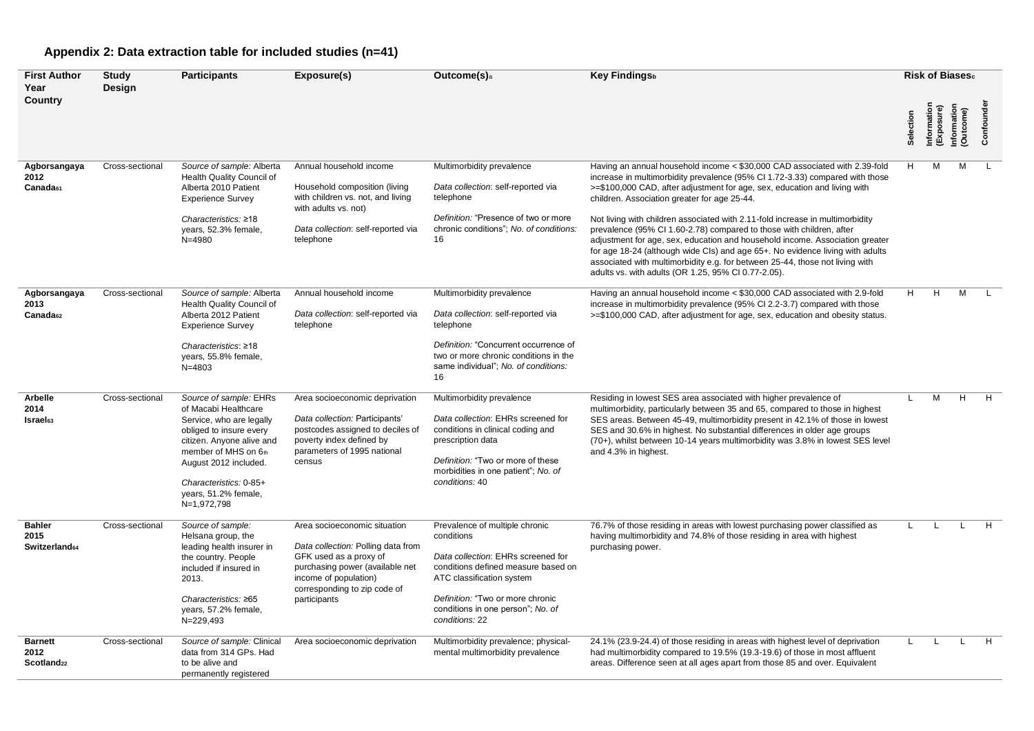## **Appendix 2: Data extraction table for included studies (n=41)**

| <b>First Author</b><br>Year                      | <b>Study</b><br>Design | <b>Participants</b>                                                                                                                                                                                                                                  | Exposure(s)                                                                                                                                                                                              | Outcome(s) <sub>a</sub>                                                                                                                                                                                                                           | Key Findingsb                                                                                                                                                                                                                                                                                                                                                                                                                                                                                                                                                                                                                                                                                                                                            | Risk of Biases. |                           |                     |           |
|--------------------------------------------------|------------------------|------------------------------------------------------------------------------------------------------------------------------------------------------------------------------------------------------------------------------------------------------|----------------------------------------------------------------------------------------------------------------------------------------------------------------------------------------------------------|---------------------------------------------------------------------------------------------------------------------------------------------------------------------------------------------------------------------------------------------------|----------------------------------------------------------------------------------------------------------------------------------------------------------------------------------------------------------------------------------------------------------------------------------------------------------------------------------------------------------------------------------------------------------------------------------------------------------------------------------------------------------------------------------------------------------------------------------------------------------------------------------------------------------------------------------------------------------------------------------------------------------|-----------------|---------------------------|---------------------|-----------|
| Country                                          |                        |                                                                                                                                                                                                                                                      |                                                                                                                                                                                                          |                                                                                                                                                                                                                                                   |                                                                                                                                                                                                                                                                                                                                                                                                                                                                                                                                                                                                                                                                                                                                                          | Selection       | Information<br>(Exposure) | rmation<br>Outcome) | Confounde |
| Agborsangaya<br>2012<br>Canada <sub>61</sub>     | Cross-sectional        | Source of sample: Alberta<br>Health Quality Council of<br>Alberta 2010 Patient<br><b>Experience Survey</b><br>Characteristics: $\geq 18$<br>years, 52.3% female,<br>$N = 4980$                                                                       | Annual household income<br>Household composition (living<br>with children vs. not, and living<br>with adults vs. not)<br>Data collection: self-reported via<br>telephone                                 | Multimorbidity prevalence<br>Data collection: self-reported via<br>telephone<br>Definition: "Presence of two or more<br>chronic conditions"; No. of conditions:<br>16                                                                             | Having an annual household income < \$30,000 CAD associated with 2.39-fold<br>increase in multimorbidity prevalence (95% CI 1.72-3.33) compared with those<br>>=\$100,000 CAD, after adjustment for age, sex, education and living with<br>children. Association greater for age 25-44.<br>Not living with children associated with 2.11-fold increase in multimorbidity<br>prevalence (95% CI 1.60-2.78) compared to those with children, after<br>adjustment for age, sex, education and household income. Association greater<br>for age 18-24 (although wide CIs) and age 65+. No evidence living with adults<br>associated with multimorbidity e.g. for between 25-44, those not living with<br>adults vs. with adults (OR 1.25, 95% CI 0.77-2.05). | H.              | м                         | м                   |           |
| Agborsangaya<br>2013<br>Canada <sub>62</sub>     | Cross-sectional        | Source of sample: Alberta<br>Health Quality Council of<br>Alberta 2012 Patient<br><b>Experience Survey</b><br>Characteristics: $\geq 18$<br>years, 55.8% female,<br>$N = 4803$                                                                       | Annual household income<br>Data collection: self-reported via<br>telephone                                                                                                                               | Multimorbidity prevalence<br>Data collection: self-reported via<br>telephone<br>Definition: "Concurrent occurrence of<br>two or more chronic conditions in the<br>same individual"; No. of conditions:<br>16                                      | Having an annual household income < \$30,000 CAD associated with 2.9-fold<br>increase in multimorbidity prevalence (95% CI 2.2-3.7) compared with those<br>>=\$100,000 CAD, after adjustment for age, sex, education and obesity status.                                                                                                                                                                                                                                                                                                                                                                                                                                                                                                                 | H.              | H                         | М                   |           |
| Arbelle<br>2014<br><b>Israel</b> <sub>63</sub>   | Cross-sectional        | Source of sample: EHRs<br>of Macabi Healthcare<br>Service, who are legally<br>obliged to insure every<br>citizen. Anyone alive and<br>member of MHS on 6th<br>August 2012 included.<br>Characteristics: 0-85+<br>years, 51.2% female,<br>N=1,972,798 | Area socioeconomic deprivation<br>Data collection: Participants'<br>postcodes assigned to deciles of<br>poverty index defined by<br>parameters of 1995 national<br>census                                | Multimorbidity prevalence<br>Data collection: EHRs screened for<br>conditions in clinical coding and<br>prescription data<br>Definition: "Two or more of these<br>morbidities in one patient"; No. of<br>conditions: 40                           | Residing in lowest SES area associated with higher prevalence of<br>multimorbidity, particularly between 35 and 65, compared to those in highest<br>SES areas. Between 45-49, multimorbidity present in 42.1% of those in lowest<br>SES and 30.6% in highest. No substantial differences in older age groups<br>(70+), whilst between 10-14 years multimorbidity was 3.8% in lowest SES level<br>and 4.3% in highest.                                                                                                                                                                                                                                                                                                                                    |                 | M                         | H                   | H         |
| <b>Bahler</b><br>2015<br>Switzerland64           | Cross-sectional        | Source of sample:<br>Helsana group, the<br>leading health insurer in<br>the country. People<br>included if insured in<br>2013.<br>Characteristics: ≥65<br>years, 57.2% female,<br>N=229,493                                                          | Area socioeconomic situation<br>Data collection: Polling data from<br>GFK used as a proxy of<br>purchasing power (available net<br>income of population)<br>corresponding to zip code of<br>participants | Prevalence of multiple chronic<br>conditions<br>Data collection: EHRs screened for<br>conditions defined measure based on<br>ATC classification system<br>Definition: "Two or more chronic<br>conditions in one person"; No. of<br>conditions: 22 | 76.7% of those residing in areas with lowest purchasing power classified as<br>having multimorbidity and 74.8% of those residing in area with highest<br>purchasing power.                                                                                                                                                                                                                                                                                                                                                                                                                                                                                                                                                                               |                 |                           |                     | H         |
| <b>Barnett</b><br>2012<br>Scotland <sub>22</sub> | Cross-sectional        | Source of sample: Clinical<br>data from 314 GPs. Had<br>to be alive and<br>permanently registered                                                                                                                                                    | Area socioeconomic deprivation                                                                                                                                                                           | Multimorbidity prevalence; physical-<br>mental multimorbidity prevalence                                                                                                                                                                          | 24.1% (23.9-24.4) of those residing in areas with highest level of deprivation<br>had multimorbidity compared to 19.5% (19.3-19.6) of those in most affluent<br>areas. Difference seen at all ages apart from those 85 and over. Equivalent                                                                                                                                                                                                                                                                                                                                                                                                                                                                                                              |                 |                           |                     | H         |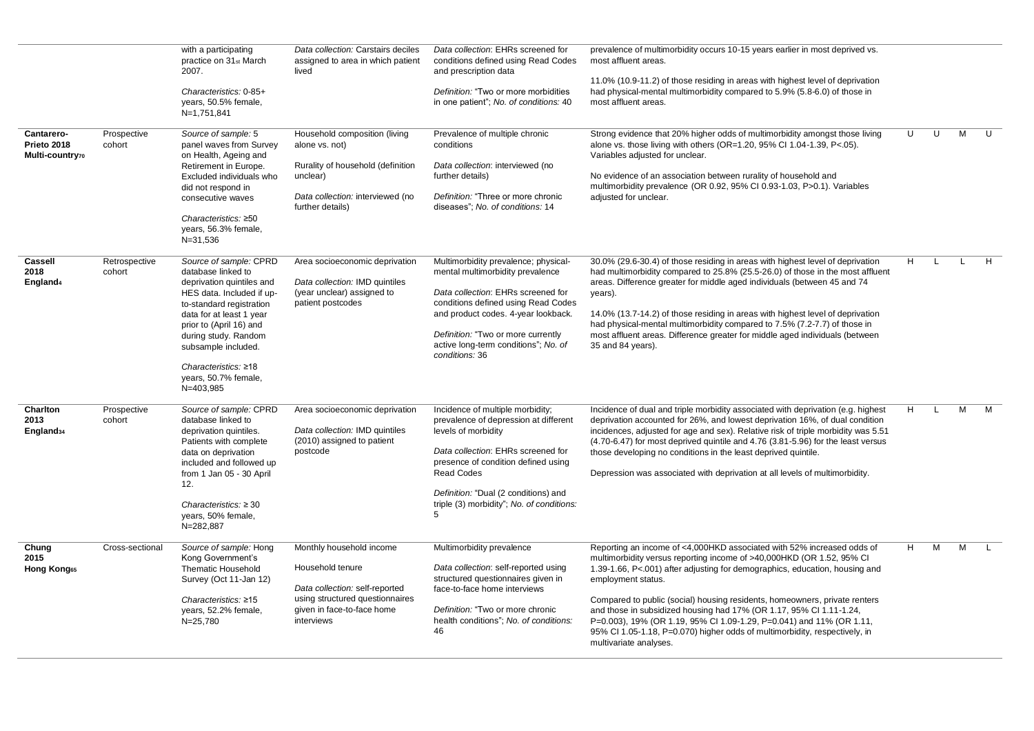|                                                |                         | with a participating<br>practice on 31st March<br>2007.<br>Characteristics: 0-85+<br>years, 50.5% female,<br>N=1,751,841                                                                                                                                                                              | Data collection: Carstairs deciles<br>assigned to area in which patient<br>lived                                                                              | Data collection: EHRs screened for<br>conditions defined using Read Codes<br>and prescription data<br>Definition: "Two or more morbidities<br>in one patient"; No. of conditions: 40                                                                                                         | prevalence of multimorbidity occurs 10-15 years earlier in most deprived vs.<br>most affluent areas.<br>11.0% (10.9-11.2) of those residing in areas with highest level of deprivation<br>had physical-mental multimorbidity compared to 5.9% (5.8-6.0) of those in<br>most affluent areas.                                                                                                                                                                                                                                                                                               |   |   |              |              |
|------------------------------------------------|-------------------------|-------------------------------------------------------------------------------------------------------------------------------------------------------------------------------------------------------------------------------------------------------------------------------------------------------|---------------------------------------------------------------------------------------------------------------------------------------------------------------|----------------------------------------------------------------------------------------------------------------------------------------------------------------------------------------------------------------------------------------------------------------------------------------------|-------------------------------------------------------------------------------------------------------------------------------------------------------------------------------------------------------------------------------------------------------------------------------------------------------------------------------------------------------------------------------------------------------------------------------------------------------------------------------------------------------------------------------------------------------------------------------------------|---|---|--------------|--------------|
| Cantarero-<br>Prieto 2018<br>Multi-country70   | Prospective<br>cohort   | Source of sample: 5<br>panel waves from Survey<br>on Health, Ageing and<br>Retirement in Europe.<br>Excluded individuals who<br>did not respond in<br>consecutive waves<br>Characteristics: ≥50<br>years, 56.3% female,<br>N=31,536                                                                   | Household composition (living<br>alone vs. not)<br>Rurality of household (definition<br>unclear)<br>Data collection: interviewed (no<br>further details)      | Prevalence of multiple chronic<br>conditions<br>Data collection: interviewed (no<br>further details)<br>Definition: "Three or more chronic<br>diseases": No. of conditions: 14                                                                                                               | Strong evidence that 20% higher odds of multimorbidity amongst those living<br>alone vs. those living with others (OR=1.20, 95% CI 1.04-1.39, P<.05).<br>Variables adjusted for unclear.<br>No evidence of an association between rurality of household and<br>multimorbidity prevalence (OR 0.92, 95% CI 0.93-1.03, P>0.1). Variables<br>adjusted for unclear.                                                                                                                                                                                                                           | U | U | M            | $\mathbf{U}$ |
| <b>Cassell</b><br>2018<br>England <sub>4</sub> | Retrospective<br>cohort | Source of sample: CPRD<br>database linked to<br>deprivation quintiles and<br>HES data. Included if up-<br>to-standard registration<br>data for at least 1 year<br>prior to (April 16) and<br>during study. Random<br>subsample included.<br>Characteristics: ≥18<br>years, 50.7% female,<br>N=403,985 | Area socioeconomic deprivation<br>Data collection: IMD quintiles<br>(year unclear) assigned to<br>patient postcodes                                           | Multimorbidity prevalence; physical-<br>mental multimorbidity prevalence<br>Data collection: EHRs screened for<br>conditions defined using Read Codes<br>and product codes. 4-year lookback.<br>Definition: "Two or more currently<br>active long-term conditions"; No. of<br>conditions: 36 | 30.0% (29.6-30.4) of those residing in areas with highest level of deprivation<br>had multimorbidity compared to 25.8% (25.5-26.0) of those in the most affluent<br>areas. Difference greater for middle aged individuals (between 45 and 74<br>years).<br>14.0% (13.7-14.2) of those residing in areas with highest level of deprivation<br>had physical-mental multimorbidity compared to 7.5% (7.2-7.7) of those in<br>most affluent areas. Difference greater for middle aged individuals (between<br>35 and 84 years).                                                               | H | L | $\mathbf{L}$ | H            |
| Charlton<br>2013<br>England <sub>34</sub>      | Prospective<br>cohort   | Source of sample: CPRD<br>database linked to<br>deprivation quintiles.<br>Patients with complete<br>data on deprivation<br>included and followed up<br>from 1 Jan 05 - 30 April<br>12.<br>Characteristics: $\geq 30$<br>years, 50% female,<br>N=282,887                                               | Area socioeconomic deprivation<br>Data collection: IMD quintiles<br>(2010) assigned to patient<br>postcode                                                    | Incidence of multiple morbidity;<br>prevalence of depression at different<br>levels of morbidity<br>Data collection: EHRs screened for<br>presence of condition defined using<br><b>Read Codes</b><br>Definition: "Dual (2 conditions) and<br>triple (3) morbidity"; No. of conditions:<br>5 | Incidence of dual and triple morbidity associated with deprivation (e.g. highest<br>deprivation accounted for 26%, and lowest deprivation 16%, of dual condition<br>incidences, adjusted for age and sex). Relative risk of triple morbidity was 5.51<br>$(4.70-6.47)$ for most deprived quintile and $4.76$ $(3.81-5.96)$ for the least versus<br>those developing no conditions in the least deprived quintile.<br>Depression was associated with deprivation at all levels of multimorbidity.                                                                                          | H | L | M            | M            |
| Chung<br>2015<br>Hong Kong <sub>65</sub>       | Cross-sectional         | Source of sample: Hong<br>Kong Government's<br><b>Thematic Household</b><br>Survey (Oct 11-Jan 12)<br>Characteristics: ≥15<br>years, 52.2% female,<br>N=25,780                                                                                                                                        | Monthly household income<br>Household tenure<br>Data collection: self-reported<br>using structured questionnaires<br>given in face-to-face home<br>interviews | Multimorbidity prevalence<br>Data collection: self-reported using<br>structured questionnaires given in<br>face-to-face home interviews<br>Definition: "Two or more chronic<br>health conditions"; No. of conditions:<br>46                                                                  | Reporting an income of <4,000HKD associated with 52% increased odds of<br>multimorbidity versus reporting income of >40,000HKD (OR 1.52, 95% CI<br>1.39-1.66, P<.001) after adjusting for demographics, education, housing and<br>employment status.<br>Compared to public (social) housing residents, homeowners, private renters<br>and those in subsidized housing had 17% (OR 1.17, 95% Cl 1.11-1.24,<br>P=0.003), 19% (OR 1.19, 95% CI 1.09-1.29, P=0.041) and 11% (OR 1.11,<br>95% CI 1.05-1.18, P=0.070) higher odds of multimorbidity, respectively, in<br>multivariate analyses. | H | M | M            | $\Box$       |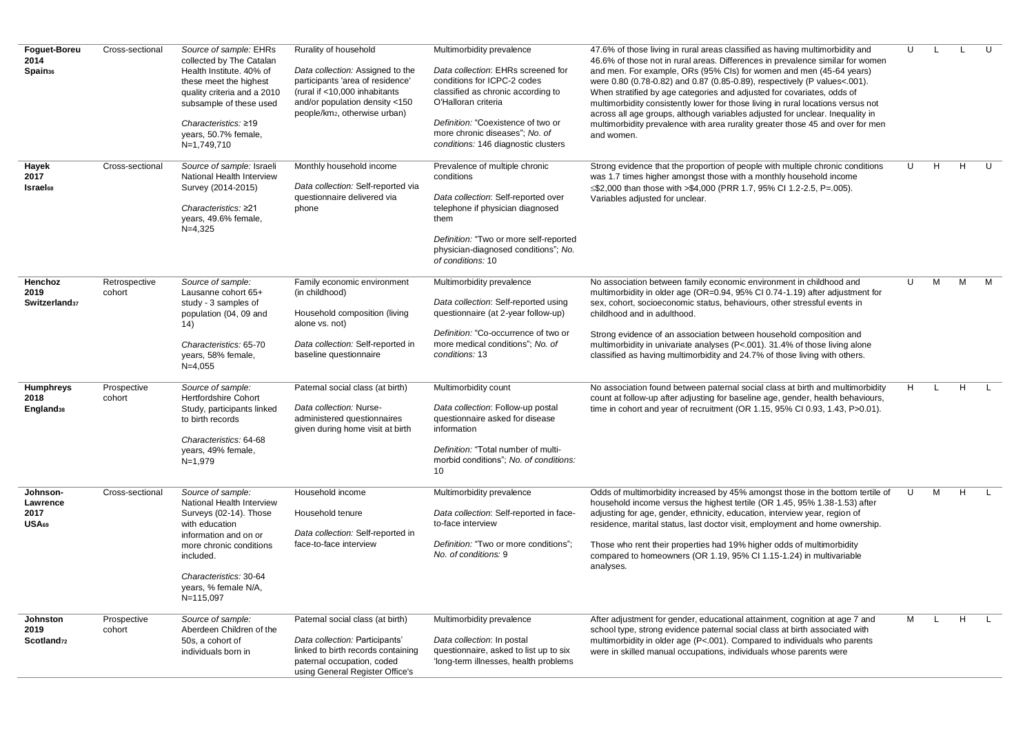| Foguet-Boreu<br>2014<br>Spain <sub>36</sub>       | Cross-sectional         | Source of sample: EHRs<br>collected by The Catalan<br>Health Institute. 40% of<br>these meet the highest<br>quality criteria and a 2010<br>subsample of these used<br>Characteristics: ≥19<br>years, 50.7% female,<br>N=1,749,710 | Rurality of household<br>Data collection: Assigned to the<br>participants 'area of residence'<br>(rural if <10,000 inhabitants)<br>and/or population density <150<br>people/km2, otherwise urban) | Multimorbidity prevalence<br>Data collection: EHRs screened for<br>conditions for ICPC-2 codes<br>classified as chronic according to<br>O'Halloran criteria<br>Definition: "Coexistence of two or<br>more chronic diseases"; No. of<br>conditions: 146 diagnostic clusters | 47.6% of those living in rural areas classified as having multimorbidity and<br>46.6% of those not in rural areas. Differences in prevalence similar for women<br>and men. For example, ORs (95% CIs) for women and men (45-64 years)<br>were 0.80 (0.78-0.82) and 0.87 (0.85-0.89), respectively (P values<.001).<br>When stratified by age categories and adjusted for covariates, odds of<br>multimorbidity consistently lower for those living in rural locations versus not<br>across all age groups, although variables adjusted for unclear. Inequality in<br>multimorbidity prevalence with area rurality greater those 45 and over for men<br>and women. | U |   |    | $\mathbf{U}$ |
|---------------------------------------------------|-------------------------|-----------------------------------------------------------------------------------------------------------------------------------------------------------------------------------------------------------------------------------|---------------------------------------------------------------------------------------------------------------------------------------------------------------------------------------------------|----------------------------------------------------------------------------------------------------------------------------------------------------------------------------------------------------------------------------------------------------------------------------|-------------------------------------------------------------------------------------------------------------------------------------------------------------------------------------------------------------------------------------------------------------------------------------------------------------------------------------------------------------------------------------------------------------------------------------------------------------------------------------------------------------------------------------------------------------------------------------------------------------------------------------------------------------------|---|---|----|--------------|
| Hayek<br>2017<br><b>Israel</b> <sub>68</sub>      | Cross-sectional         | Source of sample: Israeli<br>National Health Interview<br>Survey (2014-2015)<br>Characteristics: ≥21<br>years, 49.6% female,<br>$N=4,325$                                                                                         | Monthly household income<br>Data collection: Self-reported via<br>questionnaire delivered via<br>phone                                                                                            | Prevalence of multiple chronic<br>conditions<br>Data collection: Self-reported over<br>telephone if physician diagnosed<br>them<br>Definition: "Two or more self-reported<br>physician-diagnosed conditions"; No.<br>of conditions: 10                                     | Strong evidence that the proportion of people with multiple chronic conditions<br>was 1.7 times higher amongst those with a monthly household income<br>$\leq$ \$2,000 than those with >\$4,000 (PRR 1.7, 95% CI 1.2-2.5, P=.005).<br>Variables adjusted for unclear.                                                                                                                                                                                                                                                                                                                                                                                             | U | H | H  | $\mathbf{U}$ |
| Henchoz<br>2019<br>Switzerland <sub>37</sub>      | Retrospective<br>cohort | Source of sample:<br>Lausanne cohort 65+<br>study - 3 samples of<br>population (04, 09 and<br>(14)<br>Characteristics: 65-70<br>years, 58% female,<br>$N=4,055$                                                                   | Family economic environment<br>(in childhood)<br>Household composition (living<br>alone vs. not)<br>Data collection: Self-reported in<br>baseline questionnaire                                   | Multimorbidity prevalence<br>Data collection: Self-reported using<br>questionnaire (at 2-year follow-up)<br>Definition: "Co-occurrence of two or<br>more medical conditions"; No. of<br>conditions: 13                                                                     | No association between family economic environment in childhood and<br>multimorbidity in older age (OR=0.94, 95% CI 0.74-1.19) after adjustment for<br>sex, cohort, socioeconomic status, behaviours, other stressful events in<br>childhood and in adulthood.<br>Strong evidence of an association between household composition and<br>multimorbidity in univariate analyses (P<.001). 31.4% of those living alone<br>classified as having multimorbidity and 24.7% of those living with others.                                                                                                                                                                | U | M | M  | M            |
| <b>Humphreys</b><br>2018<br>England <sub>38</sub> | Prospective<br>cohort   | Source of sample:<br>Hertfordshire Cohort<br>Study, participants linked<br>to birth records<br>Characteristics: 64-68<br>years, 49% female,<br>$N=1,979$                                                                          | Paternal social class (at birth)<br>Data collection: Nurse-<br>administered questionnaires<br>given during home visit at birth                                                                    | Multimorbidity count<br>Data collection: Follow-up postal<br>questionnaire asked for disease<br>information<br>Definition: "Total number of multi-<br>morbid conditions"; No. of conditions:<br>10                                                                         | No association found between paternal social class at birth and multimorbidity<br>count at follow-up after adjusting for baseline age, gender, health behaviours,<br>time in cohort and year of recruitment (OR 1.15, 95% CI 0.93, 1.43, P>0.01).                                                                                                                                                                                                                                                                                                                                                                                                                 | H |   | H. |              |
| Johnson-<br>Lawrence<br>2017<br>USA <sub>69</sub> | Cross-sectional         | Source of sample:<br>National Health Interview<br>Surveys (02-14). Those<br>with education<br>information and on or<br>more chronic conditions<br>included.<br>Characteristics: 30-64<br>years, % female N/A,<br>N=115,097        | Household income<br>Household tenure<br>Data collection: Self-reported in<br>face-to-face interview                                                                                               | Multimorbidity prevalence<br>Data collection: Self-reported in face-<br>to-face interview<br>Definition: "Two or more conditions";<br>No. of conditions: 9                                                                                                                 | Odds of multimorbidity increased by 45% amongst those in the bottom tertile of<br>household income versus the highest tertile (OR 1.45, 95% 1.38-1.53) after<br>adjusting for age, gender, ethnicity, education, interview year, region of<br>residence, marital status, last doctor visit, employment and home ownership.<br>Those who rent their properties had 19% higher odds of multimorbidity<br>compared to homeowners (OR 1.19, 95% CI 1.15-1.24) in multivariable<br>analyses.                                                                                                                                                                           | U | M | н  |              |
| Johnston<br>2019<br>Scotland <sub>72</sub>        | Prospective<br>cohort   | Source of sample:<br>Aberdeen Children of the<br>50s. a cohort of<br>individuals born in                                                                                                                                          | Paternal social class (at birth)<br>Data collection: Participants'<br>linked to birth records containing<br>paternal occupation, coded<br>using General Register Office's                         | Multimorbidity prevalence<br>Data collection: In postal<br>questionnaire, asked to list up to six<br>'long-term illnesses, health problems                                                                                                                                 | After adjustment for gender, educational attainment, cognition at age 7 and<br>school type, strong evidence paternal social class at birth associated with<br>multimorbidity in older age (P<.001). Compared to individuals who parents<br>were in skilled manual occupations, individuals whose parents were                                                                                                                                                                                                                                                                                                                                                     | м |   | H. | <b>L</b>     |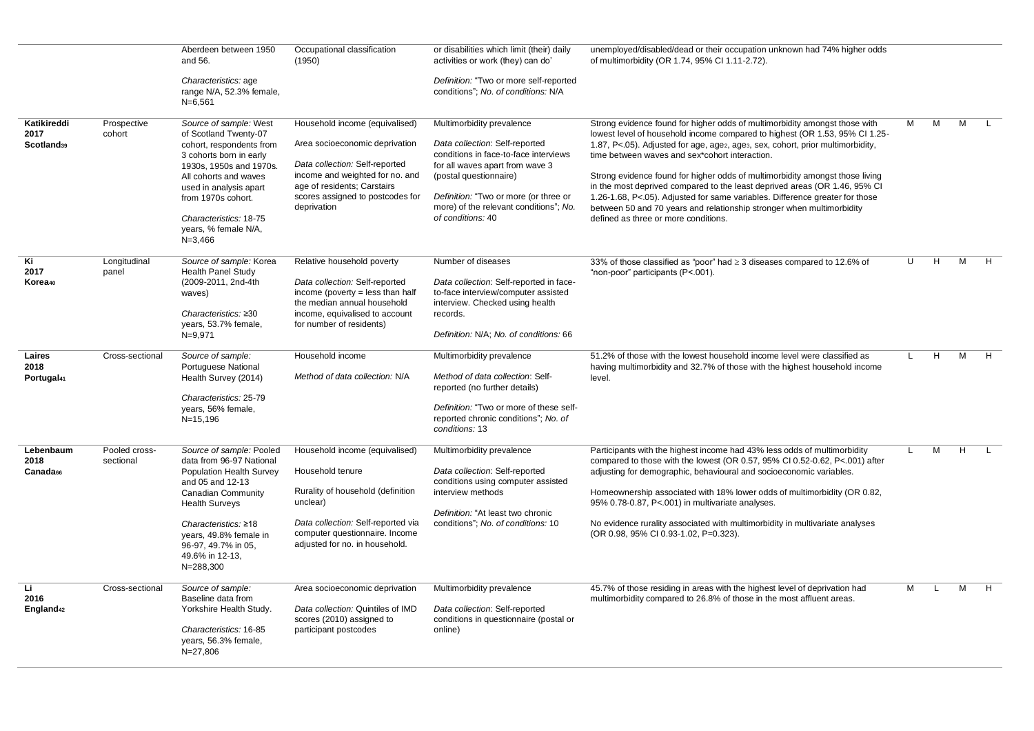|                                               |                            | Aberdeen between 1950                                                                                                                                                                                                                                                       | Occupational classification                                                                                                                                                                                             | or disabilities which limit (their) daily                                                                                                                                                                                                                                 | unemployed/disabled/dead or their occupation unknown had 74% higher odds                                                                                                                                                                                                                                                                                                                                                                                                                                                                                                                                                                                                               |              |   |   |    |
|-----------------------------------------------|----------------------------|-----------------------------------------------------------------------------------------------------------------------------------------------------------------------------------------------------------------------------------------------------------------------------|-------------------------------------------------------------------------------------------------------------------------------------------------------------------------------------------------------------------------|---------------------------------------------------------------------------------------------------------------------------------------------------------------------------------------------------------------------------------------------------------------------------|----------------------------------------------------------------------------------------------------------------------------------------------------------------------------------------------------------------------------------------------------------------------------------------------------------------------------------------------------------------------------------------------------------------------------------------------------------------------------------------------------------------------------------------------------------------------------------------------------------------------------------------------------------------------------------------|--------------|---|---|----|
|                                               |                            | and 56.                                                                                                                                                                                                                                                                     | (1950)                                                                                                                                                                                                                  | activities or work (they) can do'                                                                                                                                                                                                                                         | of multimorbidity (OR 1.74, 95% Cl 1.11-2.72).                                                                                                                                                                                                                                                                                                                                                                                                                                                                                                                                                                                                                                         |              |   |   |    |
|                                               |                            | Characteristics: age<br>range N/A, 52.3% female,<br>$N = 6,561$                                                                                                                                                                                                             |                                                                                                                                                                                                                         | Definition: "Two or more self-reported<br>conditions"; No. of conditions: N/A                                                                                                                                                                                             |                                                                                                                                                                                                                                                                                                                                                                                                                                                                                                                                                                                                                                                                                        |              |   |   |    |
| Katikireddi<br>2017<br>Scotland <sub>39</sub> | Prospective<br>cohort      | Source of sample: West<br>of Scotland Twenty-07<br>cohort, respondents from<br>3 cohorts born in early<br>1930s, 1950s and 1970s.<br>All cohorts and waves<br>used in analysis apart<br>from 1970s cohort.<br>Characteristics: 18-75<br>years, % female N/A,<br>$N = 3,466$ | Household income (equivalised)<br>Area socioeconomic deprivation<br>Data collection: Self-reported<br>income and weighted for no. and<br>age of residents; Carstairs<br>scores assigned to postcodes for<br>deprivation | Multimorbidity prevalence<br>Data collection: Self-reported<br>conditions in face-to-face interviews<br>for all waves apart from wave 3<br>(postal questionnaire)<br>Definition: "Two or more (or three or<br>more) of the relevant conditions"; No.<br>of conditions: 40 | Strong evidence found for higher odds of multimorbidity amongst those with<br>lowest level of household income compared to highest (OR 1.53, 95% CI 1.25-<br>1.87, P<.05). Adjusted for age, age <sub>2</sub> , age <sub>3</sub> , sex, cohort, prior multimorbidity,<br>time between waves and sex*cohort interaction.<br>Strong evidence found for higher odds of multimorbidity amongst those living<br>in the most deprived compared to the least deprived areas (OR 1.46, 95% CI<br>1.26-1.68, P<.05). Adjusted for same variables. Difference greater for those<br>between 50 and 70 years and relationship stronger when multimorbidity<br>defined as three or more conditions. | M            | M | M | L. |
| Κi<br>2017<br>Korea <sub>40</sub>             | Longitudinal<br>panel      | Source of sample: Korea<br><b>Health Panel Study</b><br>(2009-2011, 2nd-4th<br>waves)<br>Characteristics: ≥30<br>years, 53.7% female,<br>$N = 9,971$                                                                                                                        | Relative household poverty<br>Data collection: Self-reported<br>income (poverty = less than half<br>the median annual household<br>income, equivalised to account<br>for number of residents)                           | Number of diseases<br>Data collection: Self-reported in face-<br>to-face interview/computer assisted<br>interview. Checked using health<br>records.<br>Definition: N/A; No. of conditions: 66                                                                             | 33% of those classified as "poor" had $\geq$ 3 diseases compared to 12.6% of<br>"non-poor" participants (P<.001).                                                                                                                                                                                                                                                                                                                                                                                                                                                                                                                                                                      | $\mathbf{U}$ | H | M | H  |
| Laires<br>2018<br>Portugal <sub>41</sub>      | Cross-sectional            | Source of sample:<br>Portuguese National<br>Health Survey (2014)<br>Characteristics: 25-79<br>years, 56% female,<br>$N = 15, 196$                                                                                                                                           | Household income<br>Method of data collection: N/A                                                                                                                                                                      | Multimorbidity prevalence<br>Method of data collection: Self-<br>reported (no further details)<br>Definition: "Two or more of these self-<br>reported chronic conditions"; No. of<br>conditions: 13                                                                       | 51.2% of those with the lowest household income level were classified as<br>having multimorbidity and 32.7% of those with the highest household income<br>level.                                                                                                                                                                                                                                                                                                                                                                                                                                                                                                                       | L.           | H | м | H  |
| Lebenbaum<br>2018<br>Canada <sub>66</sub>     | Pooled cross-<br>sectional | Source of sample: Pooled<br>data from 96-97 National<br>Population Health Survey<br>and 05 and 12-13<br>Canadian Community<br><b>Health Surveys</b><br>Characteristics: ≥18<br>years, 49.8% female in<br>96-97, 49.7% in 05,<br>49.6% in 12-13,<br>N=288,300                | Household income (equivalised)<br>Household tenure<br>Rurality of household (definition<br>unclear)<br>Data collection: Self-reported via<br>computer questionnaire. Income<br>adjusted for no. in household.           | Multimorbidity prevalence<br>Data collection: Self-reported<br>conditions using computer assisted<br>interview methods<br>Definition: "At least two chronic<br>conditions"; No. of conditions: 10                                                                         | Participants with the highest income had 43% less odds of multimorbidity<br>compared to those with the lowest (OR 0.57, 95% CI 0.52-0.62, P<.001) after<br>adjusting for demographic, behavioural and socioeconomic variables.<br>Homeownership associated with 18% lower odds of multimorbidity (OR 0.82,<br>95% 0.78-0.87, P<.001) in multivariate analyses.<br>No evidence rurality associated with multimorbidity in multivariate analyses<br>(OR 0.98, 95% CI 0.93-1.02, P=0.323).                                                                                                                                                                                                | L.           | M | H |    |
| Li<br>2016<br>England <sub>42</sub>           | Cross-sectional            | Source of sample:<br>Baseline data from<br>Yorkshire Health Study.<br>Characteristics: 16-85<br>years, 56.3% female,<br>$N = 27,806$                                                                                                                                        | Area socioeconomic deprivation<br>Data collection: Quintiles of IMD<br>scores (2010) assigned to<br>participant postcodes                                                                                               | Multimorbidity prevalence<br>Data collection: Self-reported<br>conditions in questionnaire (postal or<br>online)                                                                                                                                                          | 45.7% of those residing in areas with the highest level of deprivation had<br>multimorbidity compared to 26.8% of those in the most affluent areas.                                                                                                                                                                                                                                                                                                                                                                                                                                                                                                                                    | M            | L | M | H  |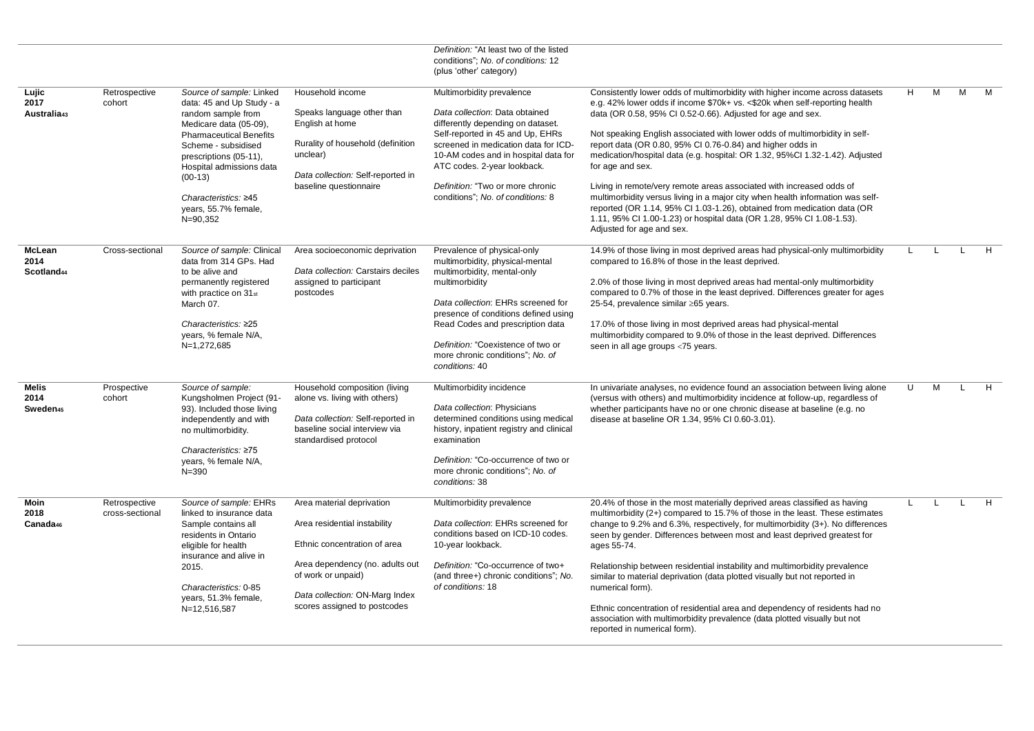|                                              |                                  |                                                                                                                                                                                                                                                                                               |                                                                                                                                                                                                                      | Definition: "At least two of the listed<br>conditions"; No. of conditions: 12<br>(plus 'other' category)                                                                                                                                                                                                                      |                                                                                                                                                                                                                                                                                                                                                                                                                                                                                                                                                                                                                                                                                                                                                                                                                      |              |              |              |   |
|----------------------------------------------|----------------------------------|-----------------------------------------------------------------------------------------------------------------------------------------------------------------------------------------------------------------------------------------------------------------------------------------------|----------------------------------------------------------------------------------------------------------------------------------------------------------------------------------------------------------------------|-------------------------------------------------------------------------------------------------------------------------------------------------------------------------------------------------------------------------------------------------------------------------------------------------------------------------------|----------------------------------------------------------------------------------------------------------------------------------------------------------------------------------------------------------------------------------------------------------------------------------------------------------------------------------------------------------------------------------------------------------------------------------------------------------------------------------------------------------------------------------------------------------------------------------------------------------------------------------------------------------------------------------------------------------------------------------------------------------------------------------------------------------------------|--------------|--------------|--------------|---|
| Lujic<br>2017<br>Australia <sub>43</sub>     | Retrospective<br>cohort          | Source of sample: Linked<br>data: 45 and Up Study - a<br>random sample from<br>Medicare data (05-09),<br><b>Pharmaceutical Benefits</b><br>Scheme - subsidised<br>prescriptions (05-11),<br>Hospital admissions data<br>$(00-13)$<br>Characteristics: ≥45<br>years, 55.7% female,<br>N=90,352 | Household income<br>Speaks language other than<br>English at home<br>Rurality of household (definition<br>unclear)<br>Data collection: Self-reported in<br>baseline questionnaire                                    | Multimorbidity prevalence<br>Data collection: Data obtained<br>differently depending on dataset.<br>Self-reported in 45 and Up, EHRs<br>screened in medication data for ICD-<br>10-AM codes and in hospital data for<br>ATC codes. 2-year lookback.<br>Definition: "Two or more chronic<br>conditions"; No. of conditions: 8  | Consistently lower odds of multimorbidity with higher income across datasets<br>e.g. 42% lower odds if income \$70k+ vs. <\$20k when self-reporting health<br>data (OR 0.58, 95% CI 0.52-0.66). Adjusted for age and sex.<br>Not speaking English associated with lower odds of multimorbidity in self-<br>report data (OR 0.80, 95% CI 0.76-0.84) and higher odds in<br>medication/hospital data (e.g. hospital: OR 1.32, 95%Cl 1.32-1.42). Adjusted<br>for age and sex.<br>Living in remote/very remote areas associated with increased odds of<br>multimorbidity versus living in a major city when health information was self-<br>reported (OR 1.14, 95% CI 1.03-1.26), obtained from medication data (OR<br>1.11, 95% CI 1.00-1.23) or hospital data (OR 1.28, 95% CI 1.08-1.53).<br>Adjusted for age and sex. | H            | M            | м            | M |
| McLean<br>2014<br>Scotland <sub>44</sub>     | Cross-sectional                  | Source of sample: Clinical<br>data from 314 GPs. Had<br>to be alive and<br>permanently registered<br>with practice on 31st<br>March 07.<br>Characteristics: ≥25<br>years, % female N/A,<br>N=1,272,685                                                                                        | Area socioeconomic deprivation<br>Data collection: Carstairs deciles<br>assigned to participant<br>postcodes                                                                                                         | Prevalence of physical-only<br>multimorbidity, physical-mental<br>multimorbidity, mental-only<br>multimorbidity<br>Data collection: EHRs screened for<br>presence of conditions defined using<br>Read Codes and prescription data<br>Definition: "Coexistence of two or<br>more chronic conditions"; No. of<br>conditions: 40 | 14.9% of those living in most deprived areas had physical-only multimorbidity<br>compared to 16.8% of those in the least deprived.<br>2.0% of those living in most deprived areas had mental-only multimorbidity<br>compared to 0.7% of those in the least deprived. Differences greater for ages<br>25-54, prevalence similar ≥65 years.<br>17.0% of those living in most deprived areas had physical-mental<br>multimorbidity compared to 9.0% of those in the least deprived. Differences<br>seen in all age groups <75 years.                                                                                                                                                                                                                                                                                    |              |              |              | H |
| <b>Melis</b><br>2014<br>Sweden <sub>45</sub> | Prospective<br>cohort            | Source of sample:<br>Kungsholmen Project (91-<br>93). Included those living<br>independently and with<br>no multimorbidity.<br>Characteristics: ≥75<br>years, % female N/A,<br>$N = 390$                                                                                                      | Household composition (living<br>alone vs. living with others)<br>Data collection: Self-reported in<br>baseline social interview via<br>standardised protocol                                                        | Multimorbidity incidence<br>Data collection: Physicians<br>determined conditions using medical<br>history, inpatient registry and clinical<br>examination<br>Definition: "Co-occurrence of two or<br>more chronic conditions"; No. of<br>conditions: 38                                                                       | In univariate analyses, no evidence found an association between living alone<br>(versus with others) and multimorbidity incidence at follow-up, regardless of<br>whether participants have no or one chronic disease at baseline (e.g. no<br>disease at baseline OR 1.34, 95% CI 0.60-3.01).                                                                                                                                                                                                                                                                                                                                                                                                                                                                                                                        | U            | M            | $\mathbf{I}$ | H |
| <b>Moin</b><br>2018<br>Canada <sub>46</sub>  | Retrospective<br>cross-sectional | Source of sample: EHRs<br>linked to insurance data<br>Sample contains all<br>residents in Ontario<br>eligible for health<br>insurance and alive in<br>2015.<br>Characteristics: 0-85<br>years, 51.3% female,<br>N=12,516,587                                                                  | Area material deprivation<br>Area residential instability<br>Ethnic concentration of area<br>Area dependency (no. adults out<br>of work or unpaid)<br>Data collection: ON-Marg Index<br>scores assigned to postcodes | Multimorbidity prevalence<br>Data collection: EHRs screened for<br>conditions based on ICD-10 codes.<br>10-year lookback.<br>Definition: "Co-occurrence of two+<br>(and three+) chronic conditions"; No.<br>of conditions: 18                                                                                                 | 20.4% of those in the most materially deprived areas classified as having<br>multimorbidity (2+) compared to 15.7% of those in the least. These estimates<br>change to 9.2% and 6.3%, respectively, for multimorbidity (3+). No differences<br>seen by gender. Differences between most and least deprived greatest for<br>ages 55-74.<br>Relationship between residential instability and multimorbidity prevalence<br>similar to material deprivation (data plotted visually but not reported in<br>numerical form).<br>Ethnic concentration of residential area and dependency of residents had no<br>association with multimorbidity prevalence (data plotted visually but not<br>reported in numerical form).                                                                                                   | $\mathbf{L}$ | $\mathbf{I}$ | $\mathbf{L}$ | H |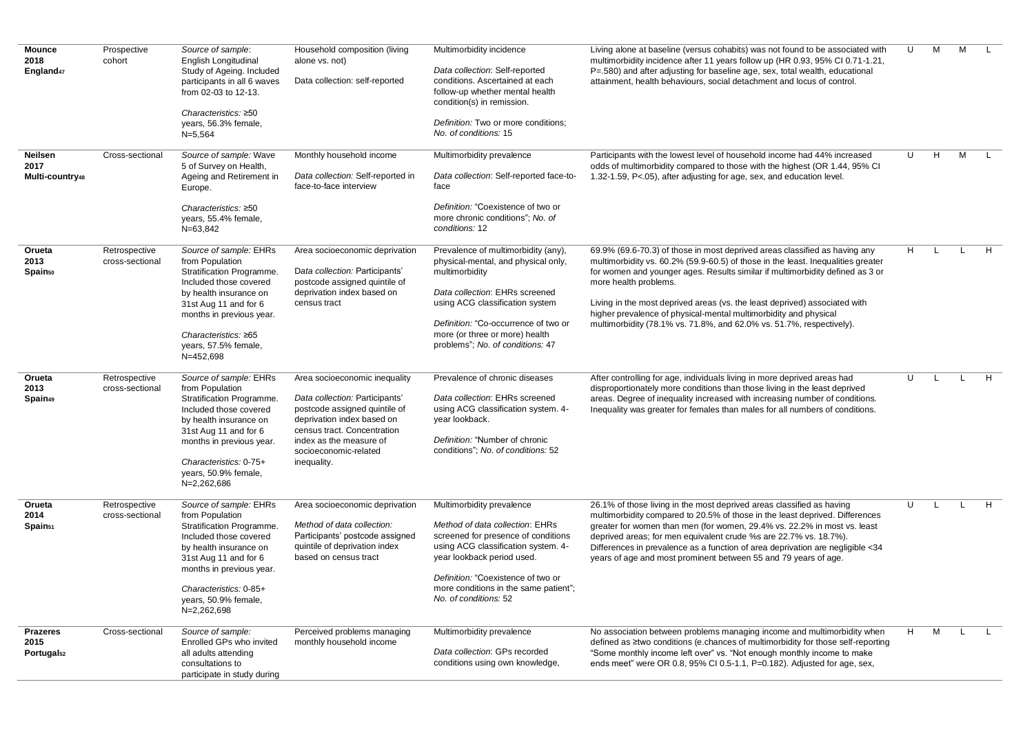| <b>Mounce</b><br>2018<br>England <sub>47</sub>                                 | Prospective<br>cohort                                                | Source of sample:<br>English Longitudinal<br>Study of Ageing. Included<br>participants in all 6 waves<br>from 02-03 to 12-13.<br>Characteristics: ≥50<br>years, 56.3% female,<br>$N=5,564$                                                                                                                                                                                                                                                                                                             | Household composition (living<br>alone vs. not)<br>Data collection: self-reported                                                                                                                                                                                                                                                                                                   | Multimorbidity incidence<br>Data collection: Self-reported<br>conditions. Ascertained at each<br>follow-up whether mental health<br>condition(s) in remission.<br>Definition: Two or more conditions;<br>No. of conditions: 15                                                                                                                                                                                                                                                       | Living alone at baseline (versus cohabits) was not found to be associated with<br>multimorbidity incidence after 11 years follow up (HR 0.93, 95% CI 0.71-1.21,<br>P=.580) and after adjusting for baseline age, sex, total wealth, educational<br>attainment, health behaviours, social detachment and locus of control.                                                                                                                                                                                                                                                                                                                                                                                                                                                                                                   | U                  | M                            | M |        |
|--------------------------------------------------------------------------------|----------------------------------------------------------------------|--------------------------------------------------------------------------------------------------------------------------------------------------------------------------------------------------------------------------------------------------------------------------------------------------------------------------------------------------------------------------------------------------------------------------------------------------------------------------------------------------------|-------------------------------------------------------------------------------------------------------------------------------------------------------------------------------------------------------------------------------------------------------------------------------------------------------------------------------------------------------------------------------------|--------------------------------------------------------------------------------------------------------------------------------------------------------------------------------------------------------------------------------------------------------------------------------------------------------------------------------------------------------------------------------------------------------------------------------------------------------------------------------------|-----------------------------------------------------------------------------------------------------------------------------------------------------------------------------------------------------------------------------------------------------------------------------------------------------------------------------------------------------------------------------------------------------------------------------------------------------------------------------------------------------------------------------------------------------------------------------------------------------------------------------------------------------------------------------------------------------------------------------------------------------------------------------------------------------------------------------|--------------------|------------------------------|---|--------|
| Neilsen<br>2017<br>Multi-country48                                             | Cross-sectional                                                      | Source of sample: Wave<br>5 of Survey on Health,<br>Ageing and Retirement in<br>Europe.<br>Characteristics: ≥50<br>years, 55.4% female,<br>N=63,842                                                                                                                                                                                                                                                                                                                                                    | Monthly household income<br>Data collection: Self-reported in<br>face-to-face interview                                                                                                                                                                                                                                                                                             | Multimorbidity prevalence<br>Data collection: Self-reported face-to-<br>face<br>Definition: "Coexistence of two or<br>more chronic conditions"; No. of<br>conditions: 12                                                                                                                                                                                                                                                                                                             | Participants with the lowest level of household income had 44% increased<br>odds of multimorbidity compared to those with the highest (OR 1.44, 95% CI<br>1.32-1.59, P<.05), after adjusting for age, sex, and education level.                                                                                                                                                                                                                                                                                                                                                                                                                                                                                                                                                                                             | U                  | H                            | M |        |
| Orueta<br>2013<br>Spain <sub>50</sub><br>Orueta<br>2013<br>Spain <sub>49</sub> | Retrospective<br>cross-sectional<br>Retrospective<br>cross-sectional | Source of sample: EHRs<br>from Population<br>Stratification Programme.<br>Included those covered<br>by health insurance on<br>31st Aug 11 and for 6<br>months in previous year.<br>Characteristics: $\geq 65$<br>years, 57.5% female,<br>N=452,698<br>Source of sample: EHRs<br>from Population<br>Stratification Programme.<br>Included those covered<br>by health insurance on<br>31st Aug 11 and for 6<br>months in previous year.<br>Characteristics: 0-75+<br>years, 50.9% female,<br>N=2,262,686 | Area socioeconomic deprivation<br>Data collection: Participants'<br>postcode assigned quintile of<br>deprivation index based on<br>census tract<br>Area socioeconomic inequality<br>Data collection: Participants'<br>postcode assigned quintile of<br>deprivation index based on<br>census tract. Concentration<br>index as the measure of<br>socioeconomic-related<br>inequality. | Prevalence of multimorbidity (any),<br>physical-mental, and physical only,<br>multimorbidity<br>Data collection: EHRs screened<br>using ACG classification system<br>Definition: "Co-occurrence of two or<br>more (or three or more) health<br>problems"; No. of conditions: 47<br>Prevalence of chronic diseases<br>Data collection: EHRs screened<br>using ACG classification system. 4-<br>year lookback.<br>Definition: "Number of chronic<br>conditions"; No. of conditions: 52 | 69.9% (69.6-70.3) of those in most deprived areas classified as having any<br>multimorbidity vs. 60.2% (59.9-60.5) of those in the least. Inequalities greater<br>for women and younger ages. Results similar if multimorbidity defined as 3 or<br>more health problems.<br>Living in the most deprived areas (vs. the least deprived) associated with<br>higher prevalence of physical-mental multimorbidity and physical<br>multimorbidity (78.1% vs. 71.8%, and 62.0% vs. 51.7%, respectively).<br>After controlling for age, individuals living in more deprived areas had<br>disproportionately more conditions than those living in the least deprived<br>areas. Degree of inequality increased with increasing number of conditions.<br>Inequality was greater for females than males for all numbers of conditions. | H.<br>$\mathbf{U}$ | $\mathbf{I}$<br>$\mathbf{I}$ |   | H<br>H |
| Orueta<br>2014<br>Spain <sub>51</sub>                                          | Retrospective<br>cross-sectional                                     | Source of sample: EHRs<br>from Population<br>Stratification Programme.<br>Included those covered<br>by health insurance on<br>31st Aug 11 and for 6<br>months in previous year.<br>Characteristics: 0-85+<br>years, 50.9% female,<br>N=2,262,698                                                                                                                                                                                                                                                       | Area socioeconomic deprivation<br>Method of data collection:<br>Participants' postcode assigned<br>quintile of deprivation index<br>based on census tract                                                                                                                                                                                                                           | Multimorbidity prevalence<br>Method of data collection: EHRs<br>screened for presence of conditions<br>using ACG classification system. 4-<br>year lookback period used.<br>Definition: "Coexistence of two or<br>more conditions in the same patient";<br>No. of conditions: 52                                                                                                                                                                                                     | 26.1% of those living in the most deprived areas classified as having<br>multimorbidity compared to 20.5% of those in the least deprived. Differences<br>greater for women than men (for women, 29.4% vs. 22.2% in most vs. least<br>deprived areas; for men equivalent crude %s are 22.7% vs. 18.7%).<br>Differences in prevalence as a function of area deprivation are negligible <34<br>years of age and most prominent between 55 and 79 years of age.                                                                                                                                                                                                                                                                                                                                                                 | $\mathbf{U}$       |                              |   | H      |
| <b>Prazeres</b><br>2015<br>Portugal <sub>52</sub>                              | Cross-sectional                                                      | Source of sample:<br>Enrolled GPs who invited<br>all adults attending<br>consultations to<br>participate in study during                                                                                                                                                                                                                                                                                                                                                                               | Perceived problems managing<br>monthly household income                                                                                                                                                                                                                                                                                                                             | Multimorbidity prevalence<br>Data collection: GPs recorded<br>conditions using own knowledge,                                                                                                                                                                                                                                                                                                                                                                                        | No association between problems managing income and multimorbidity when<br>defined as ≥two conditions (e.chances of multimorbidity for those self-reporting<br>"Some monthly income left over" vs. "Not enough monthly income to make<br>ends meet" were OR 0.8, 95% CI 0.5-1.1, P=0.182). Adjusted for age, sex,                                                                                                                                                                                                                                                                                                                                                                                                                                                                                                           | H.                 | M                            |   |        |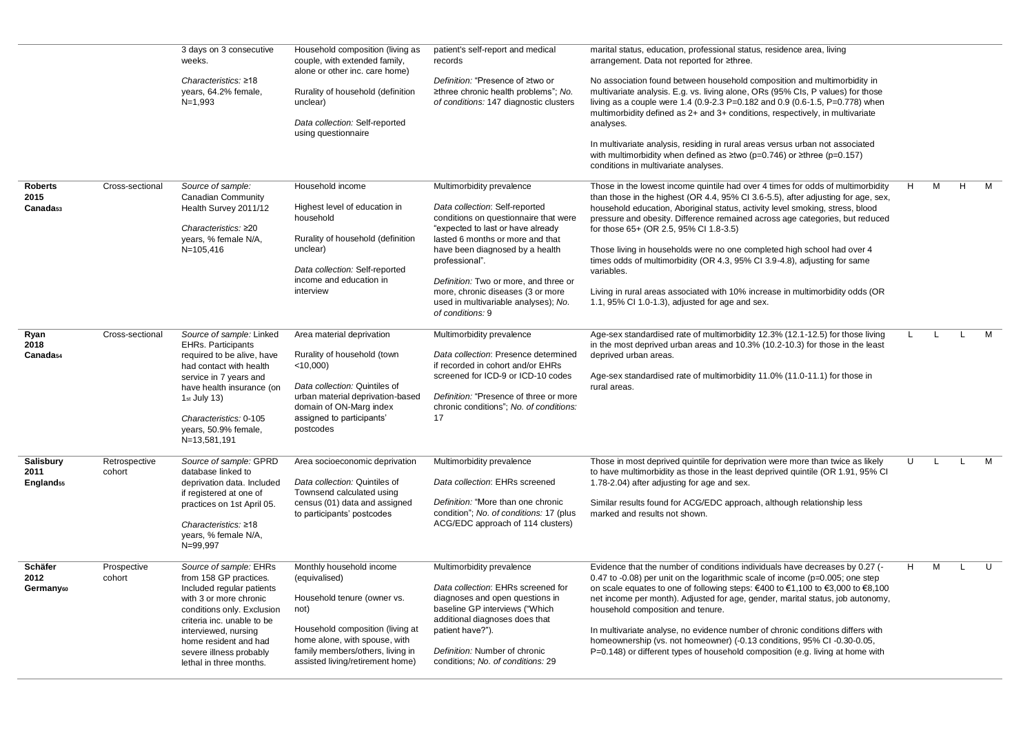|                        |                         | 3 days on 3 consecutive                                                                                         | Household composition (living as                                                | patient's self-report and medical                                                                                                                | marital status, education, professional status, residence area, living                                                                                                                                                                                                                                                       |              |              |   |   |
|------------------------|-------------------------|-----------------------------------------------------------------------------------------------------------------|---------------------------------------------------------------------------------|--------------------------------------------------------------------------------------------------------------------------------------------------|------------------------------------------------------------------------------------------------------------------------------------------------------------------------------------------------------------------------------------------------------------------------------------------------------------------------------|--------------|--------------|---|---|
|                        |                         | weeks.                                                                                                          | couple, with extended family,<br>alone or other inc. care home)                 | records                                                                                                                                          | arrangement. Data not reported for ≥three.                                                                                                                                                                                                                                                                                   |              |              |   |   |
|                        |                         | Characteristics: ≥18<br>years, 64.2% female,<br>$N=1,993$                                                       | Rurality of household (definition<br>unclear)                                   | Definition: "Presence of ≥two or<br>≥three chronic health problems"; No.<br>of conditions: 147 diagnostic clusters                               | No association found between household composition and multimorbidity in<br>multivariate analysis. E.g. vs. living alone, ORs (95% Cls, P values) for those<br>living as a couple were 1.4 (0.9-2.3 P=0.182 and 0.9 (0.6-1.5, P=0.778) when<br>multimorbidity defined as 2+ and 3+ conditions, respectively, in multivariate |              |              |   |   |
|                        |                         |                                                                                                                 | Data collection: Self-reported<br>using questionnaire                           |                                                                                                                                                  | analyses.                                                                                                                                                                                                                                                                                                                    |              |              |   |   |
|                        |                         |                                                                                                                 |                                                                                 |                                                                                                                                                  | In multivariate analysis, residing in rural areas versus urban not associated<br>with multimorbidity when defined as $\geq$ two (p=0.746) or $\geq$ three (p=0.157)<br>conditions in multivariate analyses.                                                                                                                  |              |              |   |   |
| <b>Roberts</b><br>2015 | Cross-sectional         | Source of sample:<br>Canadian Community                                                                         | Household income                                                                | Multimorbidity prevalence                                                                                                                        | Those in the lowest income quintile had over 4 times for odds of multimorbidity<br>than those in the highest (OR 4.4, 95% CI 3.6-5.5), after adjusting for age, sex,                                                                                                                                                         | H            | M            | H | M |
| Canada <sub>53</sub>   |                         | Health Survey 2011/12<br>Characteristics: ≥20<br>years, % female N/A,                                           | Highest level of education in<br>household<br>Rurality of household (definition | Data collection: Self-reported<br>conditions on questionnaire that were<br>"expected to last or have already<br>lasted 6 months or more and that | household education, Aboriginal status, activity level smoking, stress, blood<br>pressure and obesity. Difference remained across age categories, but reduced<br>for those 65+ (OR 2.5, 95% CI 1.8-3.5)                                                                                                                      |              |              |   |   |
|                        |                         | $N=105,416$                                                                                                     | unclear)<br>Data collection: Self-reported<br>income and education in           | have been diagnosed by a health<br>professional".<br>Definition: Two or more, and three or                                                       | Those living in households were no one completed high school had over 4<br>times odds of multimorbidity (OR 4.3, 95% CI 3.9-4.8), adjusting for same<br>variables.                                                                                                                                                           |              |              |   |   |
|                        |                         |                                                                                                                 | interview                                                                       | more, chronic diseases (3 or more<br>used in multivariable analyses); No.<br>of conditions: 9                                                    | Living in rural areas associated with 10% increase in multimorbidity odds (OR<br>1.1, 95% CI 1.0-1.3), adjusted for age and sex.                                                                                                                                                                                             |              |              |   |   |
| Ryan<br>2018           | Cross-sectional         | Source of sample: Linked<br><b>EHRs. Participants</b>                                                           | Area material deprivation                                                       | Multimorbidity prevalence                                                                                                                        | Age-sex standardised rate of multimorbidity 12.3% (12.1-12.5) for those living<br>in the most deprived urban areas and 10.3% (10.2-10.3) for those in the least                                                                                                                                                              | $\mathbf{L}$ | $\mathbf{I}$ |   | M |
| Canada <sub>54</sub>   |                         | required to be alive, have<br>had contact with health                                                           | Rurality of household (town<br>$<$ 10,000)                                      | Data collection: Presence determined<br>if recorded in cohort and/or EHRs                                                                        | deprived urban areas.                                                                                                                                                                                                                                                                                                        |              |              |   |   |
|                        |                         | service in 7 years and<br>have health insurance (on                                                             | Data collection: Quintiles of                                                   | screened for ICD-9 or ICD-10 codes                                                                                                               | Age-sex standardised rate of multimorbidity 11.0% (11.0-11.1) for those in<br>rural areas.                                                                                                                                                                                                                                   |              |              |   |   |
|                        |                         | $1st$ July 13)                                                                                                  | urban material deprivation-based<br>domain of ON-Marg index                     | Definition: "Presence of three or more<br>chronic conditions"; No. of conditions:                                                                |                                                                                                                                                                                                                                                                                                                              |              |              |   |   |
|                        |                         | Characteristics: 0-105<br>years, 50.9% female,<br>N=13,581,191                                                  | assigned to participants'<br>postcodes                                          | 17                                                                                                                                               |                                                                                                                                                                                                                                                                                                                              |              |              |   |   |
| Salisbury<br>2011      | Retrospective<br>cohort | Source of sample: GPRD<br>database linked to                                                                    | Area socioeconomic deprivation                                                  | Multimorbidity prevalence                                                                                                                        | Those in most deprived quintile for deprivation were more than twice as likely<br>to have multimorbidity as those in the least deprived quintile (OR 1.91, 95% CI)                                                                                                                                                           | U            | -L.          |   | M |
| England <sub>55</sub>  |                         | deprivation data. Included<br>if registered at one of                                                           | Data collection: Quintiles of<br>Townsend calculated using                      | Data collection: EHRs screened                                                                                                                   | 1.78-2.04) after adjusting for age and sex.                                                                                                                                                                                                                                                                                  |              |              |   |   |
|                        |                         | practices on 1st April 05.                                                                                      | census (01) data and assigned<br>to participants' postcodes                     | Definition: "More than one chronic<br>condition"; No. of conditions: 17 (plus                                                                    | Similar results found for ACG/EDC approach, although relationship less<br>marked and results not shown.                                                                                                                                                                                                                      |              |              |   |   |
|                        |                         | Characteristics: ≥18<br>years, % female N/A,<br>N=99,997                                                        |                                                                                 | ACG/EDC approach of 114 clusters)                                                                                                                |                                                                                                                                                                                                                                                                                                                              |              |              |   |   |
| Schäfer<br>2012        | Prospective<br>cohort   | Source of sample: EHRs<br>from 158 GP practices.                                                                | Monthly household income<br>(equivalised)                                       | Multimorbidity prevalence                                                                                                                        | Evidence that the number of conditions individuals have decreases by 0.27 (-<br>0.47 to -0.08) per unit on the logarithmic scale of income ( $p=0.005$ ; one step                                                                                                                                                            | H            | M            | L | U |
| Germany60              |                         | Included regular patients<br>with 3 or more chronic<br>conditions only. Exclusion<br>criteria inc. unable to be | Household tenure (owner vs.<br>not)                                             | Data collection: EHRs screened for<br>diagnoses and open questions in<br>baseline GP interviews ("Which<br>additional diagnoses does that        | on scale equates to one of following steps: €400 to €1,100 to €3,000 to €8,100<br>net income per month). Adjusted for age, gender, marital status, job autonomy,<br>household composition and tenure.                                                                                                                        |              |              |   |   |
|                        |                         | interviewed, nursing<br>home resident and had                                                                   | Household composition (living at<br>home alone, with spouse, with               | patient have?").                                                                                                                                 | In multivariate analyse, no evidence number of chronic conditions differs with<br>homeownership (vs. not homeowner) (-0.13 conditions, 95% CI -0.30-0.05,                                                                                                                                                                    |              |              |   |   |
|                        |                         | severe illness probably<br>lethal in three months.                                                              | family members/others, living in<br>assisted living/retirement home)            | Definition: Number of chronic<br>conditions; No. of conditions: 29                                                                               | P=0.148) or different types of household composition (e.g. living at home with                                                                                                                                                                                                                                               |              |              |   |   |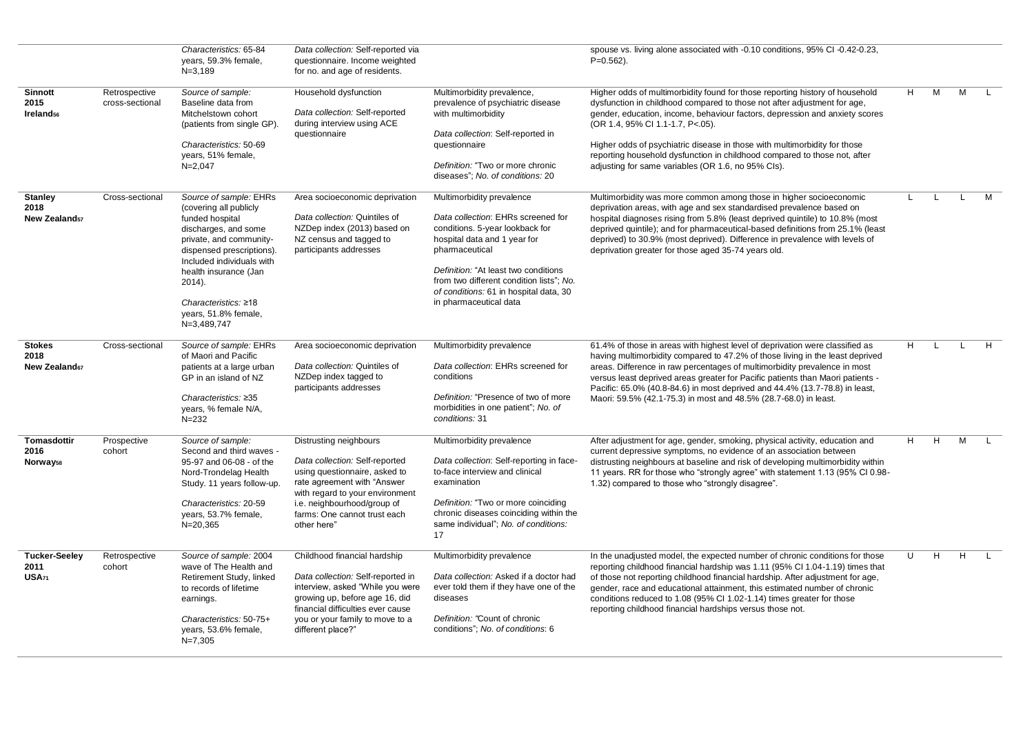|                                                 |                                  | Characteristics: 65-84<br>years, 59.3% female,<br>$N = 3.189$                                                                                                                                                                                                                               | Data collection: Self-reported via<br>questionnaire. Income weighted<br>for no. and age of residents.                                                                                                                                     |                                                                                                                                                                                                                                                                                                              | spouse vs. living alone associated with -0.10 conditions, 95% CI -0.42-0.23,<br>$P=0.562$ ).                                                                                                                                                                                                                                                                                                                                                                                                |    |              |              |              |
|-------------------------------------------------|----------------------------------|---------------------------------------------------------------------------------------------------------------------------------------------------------------------------------------------------------------------------------------------------------------------------------------------|-------------------------------------------------------------------------------------------------------------------------------------------------------------------------------------------------------------------------------------------|--------------------------------------------------------------------------------------------------------------------------------------------------------------------------------------------------------------------------------------------------------------------------------------------------------------|---------------------------------------------------------------------------------------------------------------------------------------------------------------------------------------------------------------------------------------------------------------------------------------------------------------------------------------------------------------------------------------------------------------------------------------------------------------------------------------------|----|--------------|--------------|--------------|
| <b>Sinnott</b><br>2015<br>Ireland <sub>56</sub> | Retrospective<br>cross-sectional | Source of sample:<br>Baseline data from<br>Mitchelstown cohort<br>(patients from single GP).<br>Characteristics: 50-69<br>years, 51% female,<br>$N = 2,047$                                                                                                                                 | Household dysfunction<br>Data collection: Self-reported<br>during interview using ACE<br>questionnaire                                                                                                                                    | Multimorbidity prevalence,<br>prevalence of psychiatric disease<br>with multimorbidity<br>Data collection: Self-reported in<br>questionnaire<br>Definition: "Two or more chronic<br>diseases"; No. of conditions: 20                                                                                         | Higher odds of multimorbidity found for those reporting history of household<br>dysfunction in childhood compared to those not after adjustment for age,<br>gender, education, income, behaviour factors, depression and anxiety scores<br>(OR 1.4, 95% CI 1.1-1.7, P<.05).<br>Higher odds of psychiatric disease in those with multimorbidity for those<br>reporting household dysfunction in childhood compared to those not, after<br>adjusting for same variables (OR 1.6, no 95% Cls). | H  | M            | M            | $\mathbf{L}$ |
| <b>Stanley</b><br>2018<br><b>New Zealandsz</b>  | Cross-sectional                  | Source of sample: EHRs<br>(covering all publicly<br>funded hospital<br>discharges, and some<br>private, and community-<br>dispensed prescriptions).<br>Included individuals with<br>health insurance (Jan<br>$2014$ ).<br>Characteristics: $\geq 18$<br>years, 51.8% female,<br>N=3,489,747 | Area socioeconomic deprivation<br>Data collection: Quintiles of<br>NZDep index (2013) based on<br>NZ census and tagged to<br>participants addresses                                                                                       | Multimorbidity prevalence<br>Data collection: EHRs screened for<br>conditions. 5-year lookback for<br>hospital data and 1 year for<br>pharmaceutical<br>Definition: "At least two conditions<br>from two different condition lists"; No.<br>of conditions: 61 in hospital data, 30<br>in pharmaceutical data | Multimorbidity was more common among those in higher socioeconomic<br>deprivation areas, with age and sex standardised prevalence based on<br>hospital diagnoses rising from 5.8% (least deprived quintile) to 10.8% (most<br>deprived quintile); and for pharmaceutical-based definitions from 25.1% (least<br>deprived) to 30.9% (most deprived). Difference in prevalence with levels of<br>deprivation greater for those aged 35-74 years old.                                          | L  | L            | $\mathbf{L}$ | M            |
| <b>Stokes</b><br>2018<br><b>New Zealand67</b>   | Cross-sectional                  | Source of sample: EHRs<br>of Maori and Pacific<br>patients at a large urban<br>GP in an island of NZ<br>Characteristics: $\geq 35$<br>years, % female N/A,<br>$N = 232$                                                                                                                     | Area socioeconomic deprivation<br>Data collection: Quintiles of<br>NZDep index tagged to<br>participants addresses                                                                                                                        | Multimorbidity prevalence<br>Data collection: EHRs screened for<br>conditions<br>Definition: "Presence of two of more<br>morbidities in one patient"; No. of<br>conditions: 31                                                                                                                               | 61.4% of those in areas with highest level of deprivation were classified as<br>having multimorbidity compared to 47.2% of those living in the least deprived<br>areas. Difference in raw percentages of multimorbidity prevalence in most<br>versus least deprived areas greater for Pacific patients than Maori patients -<br>Pacific: 65.0% (40.8-84.6) in most deprived and 44.4% (13.7-78.8) in least,<br>Maori: 59.5% (42.1-75.3) in most and 48.5% (28.7-68.0) in least.             | H. | $\mathsf{L}$ | $\mathbf{L}$ | H            |
| Tomasdottir<br>2016<br>Norway <sub>58</sub>     | Prospective<br>cohort            | Source of sample:<br>Second and third waves -<br>95-97 and 06-08 - of the<br>Nord-Trondelag Health<br>Study. 11 years follow-up.<br>Characteristics: 20-59<br>years, 53.7% female,<br>$N = 20,365$                                                                                          | Distrusting neighbours<br>Data collection: Self-reported<br>using questionnaire, asked to<br>rate agreement with "Answer<br>with regard to your environment<br>i.e. neighbourhood/group of<br>farms: One cannot trust each<br>other here" | Multimorbidity prevalence<br>Data collection: Self-reporting in face-<br>to-face interview and clinical<br>examination<br>Definition: "Two or more coinciding<br>chronic diseases coinciding within the<br>same individual"; No. of conditions:<br>17                                                        | After adjustment for age, gender, smoking, physical activity, education and<br>current depressive symptoms, no evidence of an association between<br>distrusting neighbours at baseline and risk of developing multimorbidity within<br>11 years. RR for those who "strongly agree" with statement 1.13 (95% CI 0.98-<br>1.32) compared to those who "strongly disagree".                                                                                                                   | H. | H            | M            | $\mathbf{L}$ |
| <b>Tucker-Seeley</b><br>2011<br>USA71           | Retrospective<br>cohort          | Source of sample: 2004<br>wave of The Health and<br>Retirement Study, linked<br>to records of lifetime<br>earnings.<br>Characteristics: 50-75+<br>years, 53.6% female,<br>$N=7,305$                                                                                                         | Childhood financial hardship<br>Data collection: Self-reported in<br>interview, asked "While you were<br>growing up, before age 16, did<br>financial difficulties ever cause<br>you or your family to move to a<br>different place?"      | Multimorbidity prevalence<br>Data collection: Asked if a doctor had<br>ever told them if they have one of the<br>diseases<br>Definition: "Count of chronic<br>conditions": No. of conditions: 6                                                                                                              | In the unadjusted model, the expected number of chronic conditions for those<br>reporting childhood financial hardship was 1.11 (95% CI 1.04-1.19) times that<br>of those not reporting childhood financial hardship. After adjustment for age,<br>gender, race and educational attainment, this estimated number of chronic<br>conditions reduced to 1.08 (95% CI 1.02-1.14) times greater for those<br>reporting childhood financial hardships versus those not.                          | U  | H            | H            | $\mathbf{L}$ |